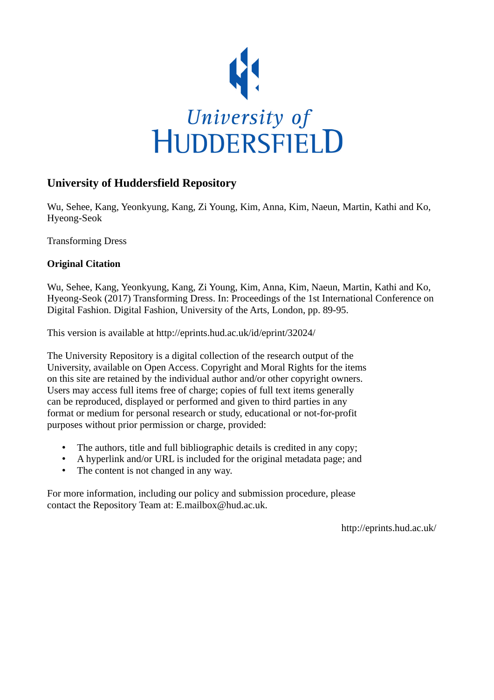

# **University of Huddersfield Repository**

Wu, Sehee, Kang, Yeonkyung, Kang, Zi Young, Kim, Anna, Kim, Naeun, Martin, Kathi and Ko, Hyeong-Seok

Transforming Dress

### **Original Citation**

Wu, Sehee, Kang, Yeonkyung, Kang, Zi Young, Kim, Anna, Kim, Naeun, Martin, Kathi and Ko, Hyeong-Seok (2017) Transforming Dress. In: Proceedings of the 1st International Conference on Digital Fashion. Digital Fashion, University of the Arts, London, pp. 89-95.

This version is available at http://eprints.hud.ac.uk/id/eprint/32024/

The University Repository is a digital collection of the research output of the University, available on Open Access. Copyright and Moral Rights for the items on this site are retained by the individual author and/or other copyright owners. Users may access full items free of charge; copies of full text items generally can be reproduced, displayed or performed and given to third parties in any format or medium for personal research or study, educational or not-for-profit purposes without prior permission or charge, provided:

- The authors, title and full bibliographic details is credited in any copy;
- A hyperlink and/or URL is included for the original metadata page; and
- The content is not changed in any way.

For more information, including our policy and submission procedure, please contact the Repository Team at: E.mailbox@hud.ac.uk.

http://eprints.hud.ac.uk/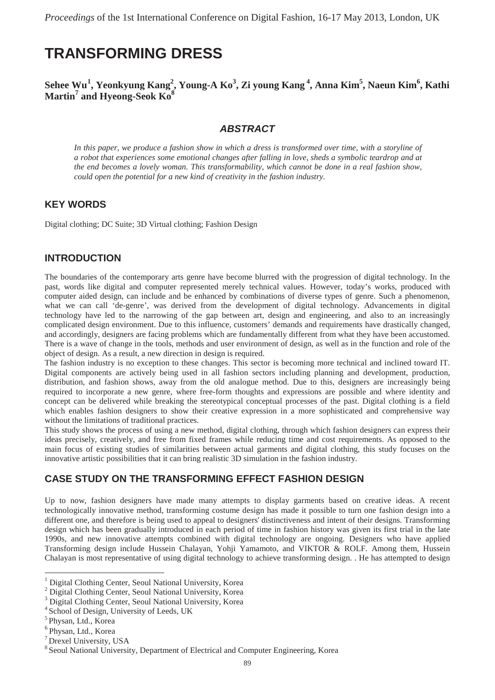# **TRANSFORMING DRESS**

### **Sehee Wu<sup>1</sup> , Yeonkyung Kang<sup>2</sup> , Young-A Ko<sup>3</sup> , Zi young Kang <sup>4</sup> , Anna Kim5 , Naeun Kim6 , Kathi Martin<sup>7</sup> and Hyeong-Seok Ko8**

#### *ABSTRACT*

*In this paper, we produce a fashion show in which a dress is transformed over time, with a storyline of a robot that experiences some emotional changes after falling in love, sheds a symbolic teardrop and at the end becomes a lovely woman. This transformability, which cannot be done in a real fashion show, could open the potential for a new kind of creativity in the fashion industry.*

### **KEY WORDS**

Digital clothing; DC Suite; 3D Virtual clothing; Fashion Design

### **INTRODUCTION**

The boundaries of the contemporary arts genre have become blurred with the progression of digital technology. In the past, words like digital and computer represented merely technical values. However, today's works, produced with computer aided design, can include and be enhanced by combinations of diverse types of genre. Such a phenomenon, what we can call 'de-genre', was derived from the development of digital technology. Advancements in digital technology have led to the narrowing of the gap between art, design and engineering, and also to an increasingly complicated design environment. Due to this influence, customers' demands and requirements have drastically changed, and accordingly, designers are facing problems which are fundamentally different from what they have been accustomed. There is a wave of change in the tools, methods and user environment of design, as well as in the function and role of the object of design. As a result, a new direction in design is required.

The fashion industry is no exception to these changes. This sector is becoming more technical and inclined toward IT. Digital components are actively being used in all fashion sectors including planning and development, production, distribution, and fashion shows, away from the old analogue method. Due to this, designers are increasingly being required to incorporate a new genre, where free-form thoughts and expressions are possible and where identity and concept can be delivered while breaking the stereotypical conceptual processes of the past. Digital clothing is a field which enables fashion designers to show their creative expression in a more sophisticated and comprehensive way without the limitations of traditional practices.

This study shows the process of using a new method, digital clothing, through which fashion designers can express their ideas precisely, creatively, and free from fixed frames while reducing time and cost requirements. As opposed to the main focus of existing studies of similarities between actual garments and digital clothing, this study focuses on the innovative artistic possibilities that it can bring realistic 3D simulation in the fashion industry.

### **CASE STUDY ON THE TRANSFORMING EFFECT FASHION DESIGN**

Up to now, fashion designers have made many attempts to display garments based on creative ideas. A recent technologically innovative method, transforming costume design has made it possible to turn one fashion design into a different one, and therefore is being used to appeal to designers' distinctiveness and intent of their designs. Transforming design which has been gradually introduced in each period of time in fashion history was given its first trial in the late 1990s, and new innovative attempts combined with digital technology are ongoing. Designers who have applied Transforming design include Hussein Chalayan, Yohji Yamamoto, and VIKTOR & ROLF. Among them, Hussein Chalayan is most representative of using digital technology to achieve transforming design. . He has attempted to design

<sup>&</sup>lt;sup>1</sup> Digital Clothing Center, Seoul National University, Korea

<sup>&</sup>lt;sup>2</sup> Digital Clothing Center, Seoul National University, Korea

<sup>3</sup> Digital Clothing Center, Seoul National University, Korea

<sup>4</sup> School of Design, University of Leeds, UK

<sup>5</sup> Physan, Ltd., Korea

<sup>6</sup> Physan, Ltd., Korea

<sup>7</sup> Drexel University, USA

<sup>8</sup> Seoul National University, Department of Electrical and Computer Engineering, Korea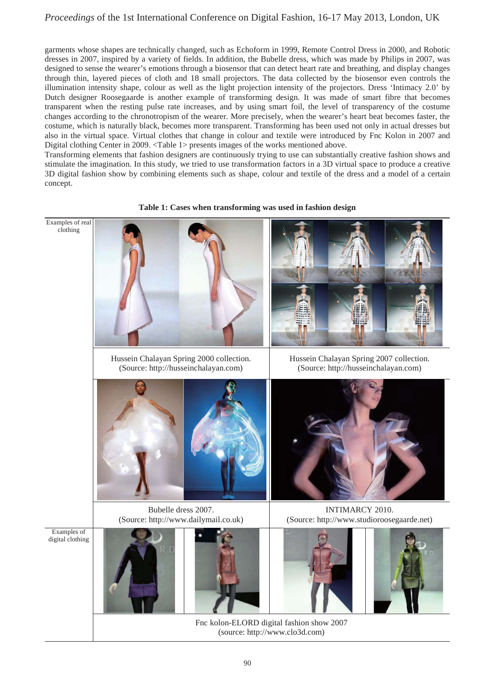### *Proceedings* of the 1st International Conference on Digital Fashion, 16-17 May 2013, London, UK

garments whose shapes are technically changed, such as Echoform in 1999, Remote Control Dress in 2000, and Robotic dresses in 2007, inspired by a variety of fields. In addition, the Bubelle dress, which was made by Philips in 2007, was designed to sense the wearer's emotions through a biosensor that can detect heart rate and breathing, and display changes through thin, layered pieces of cloth and 18 small projectors. The data collected by the biosensor even controls the illumination intensity shape, colour as well as the light projection intensity of the projectors. Dress 'Intimacy 2.0' by Dutch designer Roosegaarde is another example of transforming design. It was made of smart fibre that becomes transparent when the resting pulse rate increases, and by using smart foil, the level of transparency of the costume changes according to the chronotropism of the wearer. More precisely, when the wearer's heart beat becomes faster, the costume, which is naturally black, becomes more transparent. Transforming has been used not only in actual dresses but also in the virtual space. Virtual clothes that change in colour and textile were introduced by Fnc Kolon in 2007 and Digital clothing Center in 2009. <Table 1> presents images of the works mentioned above.

Transforming elements that fashion designers are continuously trying to use can substantially creative fashion shows and stimulate the imagination. In this study, we tried to use transformation factors in a 3D virtual space to produce a creative 3D digital fashion show by combining elements such as shape, colour and textile of the dress and a model of a certain concept.



**Table 1: Cases when transforming was used in fashion design**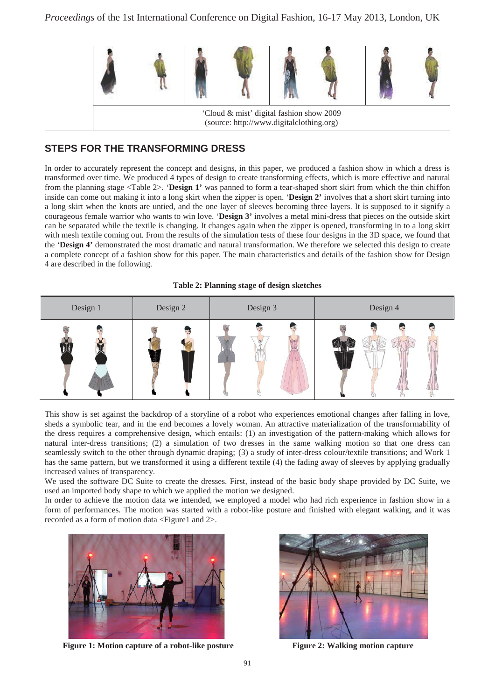

# **STEPS FOR THE TRANSFORMING DRESS**

In order to accurately represent the concept and designs, in this paper, we produced a fashion show in which a dress is transformed over time. We produced 4 types of design to create transforming effects, which is more effective and natural from the planning stage <Table 2>. '**Design 1'** was panned to form a tear-shaped short skirt from which the thin chiffon inside can come out making it into a long skirt when the zipper is open. '**Design 2'** involves that a short skirt turning into a long skirt when the knots are untied, and the one layer of sleeves becoming three layers. It is supposed to it signify a courageous female warrior who wants to win love. '**Design 3'** involves a metal mini-dress that pieces on the outside skirt can be separated while the textile is changing. It changes again when the zipper is opened, transforming in to a long skirt with mesh textile coming out. From the results of the simulation tests of these four designs in the 3D space, we found that the '**Design 4'** demonstrated the most dramatic and natural transformation. We therefore we selected this design to create a complete concept of a fashion show for this paper. The main characteristics and details of the fashion show for Design 4 are described in the following.





This show is set against the backdrop of a storyline of a robot who experiences emotional changes after falling in love, sheds a symbolic tear, and in the end becomes a lovely woman. An attractive materialization of the transformability of the dress requires a comprehensive design, which entails: (1) an investigation of the pattern-making which allows for natural inter-dress transitions; (2) a simulation of two dresses in the same walking motion so that one dress can seamlessly switch to the other through dynamic draping; (3) a study of inter-dress colour/textile transitions; and Work 1 has the same pattern, but we transformed it using a different textile (4) the fading away of sleeves by applying gradually increased values of transparency.

We used the software DC Suite to create the dresses. First, instead of the basic body shape provided by DC Suite, we used an imported body shape to which we applied the motion we designed.

In order to achieve the motion data we intended, we employed a model who had rich experience in fashion show in a form of performances. The motion was started with a robot-like posture and finished with elegant walking, and it was recorded as a form of motion data <Figure1 and 2>.



**Figure 1: Motion capture of a robot-like posture Figure 2: Walking motion capture** 

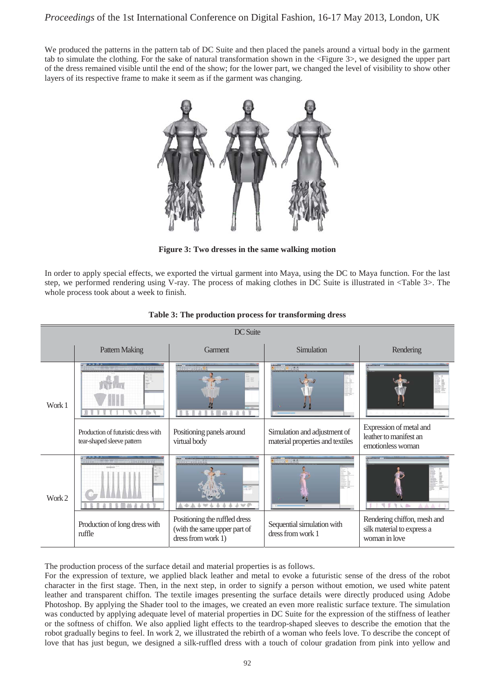We produced the patterns in the pattern tab of DC Suite and then placed the panels around a virtual body in the garment tab to simulate the clothing. For the sake of natural transformation shown in the <Figure 3>, we designed the upper part of the dress remained visible until the end of the show; for the lower part, we changed the level of visibility to show other layers of its respective frame to make it seem as if the garment was changing.



**Figure 3: Two dresses in the same walking motion** 

In order to apply special effects, we exported the virtual garment into Maya, using the DC to Maya function. For the last step, we performed rendering using V-ray. The process of making clothes in DC Suite is illustrated in <Table 3>. The whole process took about a week to finish.





The production process of the surface detail and material properties is as follows.

For the expression of texture, we applied black leather and metal to evoke a futuristic sense of the dress of the robot character in the first stage. Then, in the next step, in order to signify a person without emotion, we used white patent leather and transparent chiffon. The textile images presenting the surface details were directly produced using Adobe Photoshop. By applying the Shader tool to the images, we created an even more realistic surface texture. The simulation was conducted by applying adequate level of material properties in DC Suite for the expression of the stiffness of leather or the softness of chiffon. We also applied light effects to the teardrop-shaped sleeves to describe the emotion that the robot gradually begins to feel. In work 2, we illustrated the rebirth of a woman who feels love. To describe the concept of love that has just begun, we designed a silk-ruffled dress with a touch of colour gradation from pink into yellow and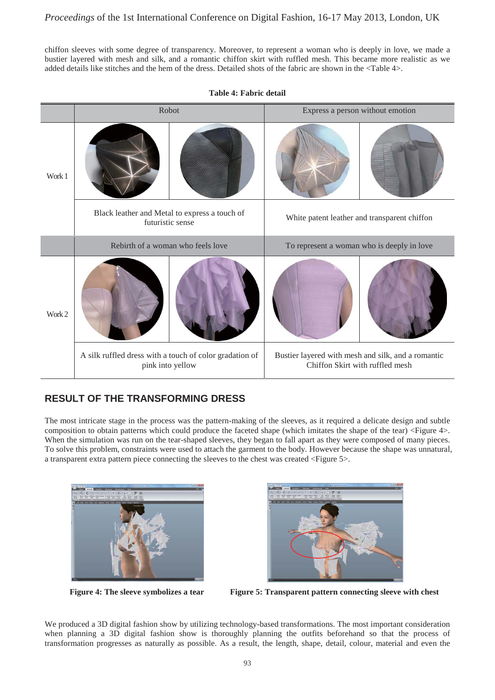chiffon sleeves with some degree of transparency. Moreover, to represent a woman who is deeply in love, we made a bustier layered with mesh and silk, and a romantic chiffon skirt with ruffled mesh. This became more realistic as we added details like stitches and the hem of the dress. Detailed shots of the fabric are shown in the <Table 4>.



#### **Table 4: Fabric detail**

## **RESULT OF THE TRANSFORMING DRESS**

The most intricate stage in the process was the pattern-making of the sleeves, as it required a delicate design and subtle composition to obtain patterns which could produce the faceted shape (which imitates the shape of the tear) <Figure 4>. When the simulation was run on the tear-shaped sleeves, they began to fall apart as they were composed of many pieces. To solve this problem, constraints were used to attach the garment to the body. However because the shape was unnatural, a transparent extra pattern piece connecting the sleeves to the chest was created <Figure 5>.







**Figure 4: The sleeve symbolizes a tear Figure 5: Transparent pattern connecting sleeve with chest** 

We produced a 3D digital fashion show by utilizing technology-based transformations. The most important consideration when planning a 3D digital fashion show is thoroughly planning the outfits beforehand so that the process of transformation progresses as naturally as possible. As a result, the length, shape, detail, colour, material and even the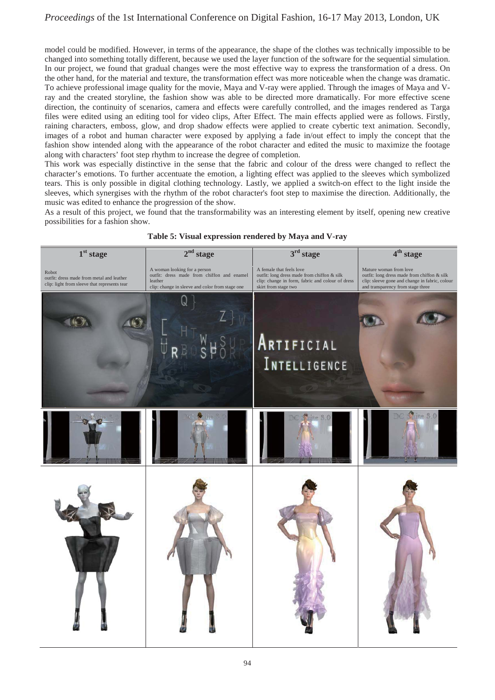model could be modified. However, in terms of the appearance, the shape of the clothes was technically impossible to be changed into something totally different, because we used the layer function of the software for the sequential simulation. In our project, we found that gradual changes were the most effective way to express the transformation of a dress. On the other hand, for the material and texture, the transformation effect was more noticeable when the change was dramatic. To achieve professional image quality for the movie, Maya and V-ray were applied. Through the images of Maya and Vray and the created storyline, the fashion show was able to be directed more dramatically. For more effective scene direction, the continuity of scenarios, camera and effects were carefully controlled, and the images rendered as Targa files were edited using an editing tool for video clips, After Effect. The main effects applied were as follows. Firstly, raining characters, emboss, glow, and drop shadow effects were applied to create cybertic text animation. Secondly, images of a robot and human character were exposed by applying a fade in/out effect to imply the concept that the fashion show intended along with the appearance of the robot character and edited the music to maximize the footage along with characters' foot step rhythm to increase the degree of completion.

This work was especially distinctive in the sense that the fabric and colour of the dress were changed to reflect the character's emotions. To further accentuate the emotion, a lighting effect was applied to the sleeves which symbolized tears. This is only possible in digital clothing technology. Lastly, we applied a switch-on effect to the light inside the sleeves, which synergises with the rhythm of the robot character's foot step to maximise the direction. Additionally, the music was edited to enhance the progression of the show.

As a result of this project, we found that the transformability was an interesting element by itself, opening new creative possibilities for a fashion show.



#### **Table 5: Visual expression rendered by Maya and V-ray**